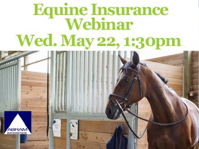## **Equine Insurance<br>Webinar** Wed. May 22, 1:30pm

**Change of the state of the state of the state** 

**Lloyds Adventure Adventure Adventure Adventure Adventure Adventure Adventure Adventure Adventure Adventure Adv** 

**Sponsored by** 

**Abram Interstate Insurance Services (916) 780-7000 | AbramInterstate.com**

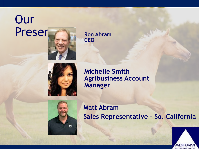### **Our** Presen



**Ron Abram CEO**



**Michelle Smith Agribusiness Account Manager**



**Matt Abram Sales Representative – So. California**

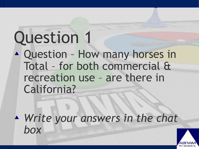### Question 1

! Question – How many horses in Total – for both commercial & recreation use – are there in California?

! *Write your answers in the chat box*

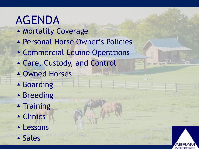### AGENDA

- **A Mortality Coverage**
- **A Personal Horse Owner's Policies**
- **A Commercial Equine Operations**
- ! Care, Custody, and Control
- **A Owned Horses**
- ▲ Boarding
- ▲ Breeding
- **A** Training
- ▲ Clinics
- **ALessons**
- ! Sales

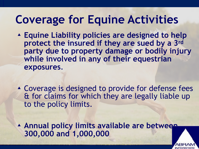### **Coverage for Equine Activities**

- ! **Equine Liability policies are designed to help protect the insured if they are sued by a 3rd party due to property damage or bodily injury while involved in any of their equestrian exposures**.
- ! Coverage is designed to provide for defense fees & for claims for which they are legally liable up to the policy limits.

! **Annual policy limits available are between 300,000 and 1,000,000**

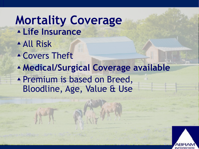#### **Mortality Coverage** ! **Life Insurance**  ! All Risk **A Covers Theft** ! **Medical/Surgical Coverage available**

**A Premium is based on Breed,** Bloodline, Age, Value & Use

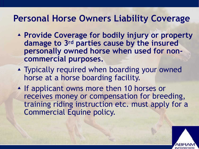#### **Personal Horse Owners Liability Coverage**

- ! **Provide Coverage for bodily injury or property damage to 3rd parties cause by the insured personally owned horse when used for noncommercial purposes.**
- **A** Typically required when boarding your owned horse at a horse boarding facility.
- **A** If applicant owns more then 10 horses or receives money or compensation for breeding, training riding instruction etc. must apply for a Commercial Equine policy.

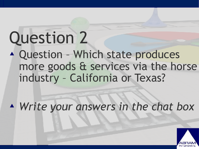### Question 2

! Question – Which state produces more goods & services via the horse industry – California or Texas?

! *Write your answers in the chat box*

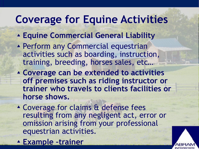### **Coverage for Equine Activities**

- ! **Equine Commercial General Liability**
- **A Perform any Commercial equestrian** activities such as boarding, instruction, training, breeding, horses sales, etc…
- ! **Coverage can be extended to activities off premises such as riding instructor or trainer who travels to clients facilities or horse shows.**
- ▲ Coverage for claims & defense fees resulting from any negligent act, error or omission arising from your professional equestrian activities.
- ! **Example –trainer**

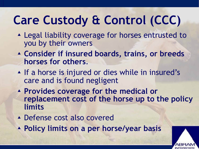### **Care Custody & Control (CCC)**

- ! Legal liability coverage for horses entrusted to you by their owners
- ! **Consider if insured boards, trains, or breeds horses for others**.
- **A** If a horse is injured or dies while in insured's care and is found negligent
- ! **Provides coverage for the medical or replacement cost of the horse up to the policy limits**
- ▲ Defense cost also covered
- ! **Policy limits on a per horse/year basis**

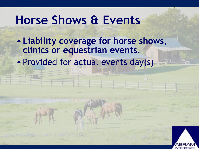### **Horse Shows & Events**

- ! **Liability coverage for horse shows, clinics or equestrian events.**
- **A Provided for actual events day(s)**

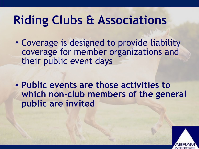### **Riding Clubs & Associations**

! Coverage is designed to provide liability coverage for member organizations and their public event days

! **Public events are those activities to which non-club members of the general public are invited** 

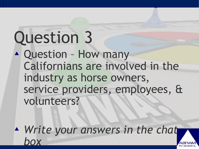### Question 3

! Question – How many Californians are involved in the industry as horse owners, service providers, employees, & volunteers?

! *Write your answers in the chat box*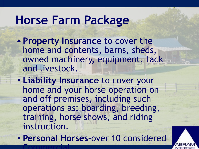### **Horse Farm Package**

- ! **Property Insurance** to cover the home and contents, barns, sheds, owned machinery, equipment, tack and livestock.
- ! **Liability Insurance** to cover your home and your horse operation on and off premises, including such operations as: boarding, breeding, training, horse shows, and riding instruction.

! **Personal Horses-**over 10 considered **Commercial** 

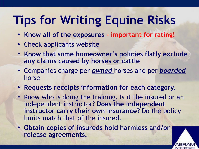### **Tips for Writing Equine Risks**

- ! **Know all of the exposures important for rating!**
- ▲ Check applicants website
- ! **Know that some homeowner's policies flatly exclude any claims caused by horses or cattle**
- ! Companies charge per *owned* horses and per *boarded* horse
- ! **Requests receipts information for each category.**
- ! Know who is doing the training. Is it the insured or an independent instructor? **Does the independent instructor carry their own insurance?** Do the policy limits match that of the insured.

! **Obtain copies of insureds hold harmless and/or release agreements.** 

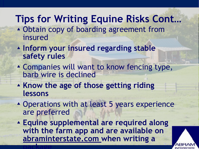#### **Tips for Writing Equine Risks Cont…**

- ! Obtain copy of boarding agreement from insured
- ! **Inform your insured regarding stable safety rules**
- ▲ Companies will want to know fencing type, barb wire is declined
- ! **Know the age of those getting riding lessons**
- **A Operations with at least 5 years experience** are preferred
- ! **Equine supplemental are required along with the farm app and are available on abraminterstate.com when writing a package**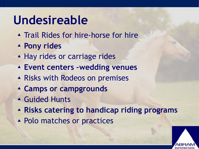### **Undesireable**

- **A Trail Rides for hire-horse for hire**
- ! **Pony rides**
- ▲ Hay rides or carriage rides
- ! **Event centers –wedding venues**
- ▲ Risks with Rodeos on premises
- ! **Camps or campgrounds**
- **A** Guided Hunts
- ! **Risks catering to handicap riding programs**
- ▲ Polo matches or practices

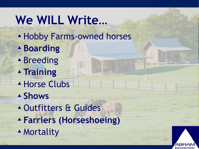### **We WILL Write…**

- **A Hobby Farms-owned horses**
- ! **Boarding**
- ▲ Breeding
- ! **Training**
- **A Horse Clubs**
- ! **Shows**
- ! Outfitters & Guides
- ! **Farriers (Horseshoeing)**
- **A** Mortality

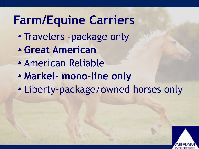### **Farm/Equine Carriers A Travelers -package only** ! **Great American**  ! American Reliable ! **Markel- mono-line only**  ! Liberty-package/owned horses only

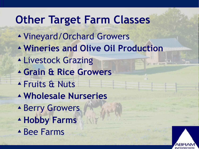### **Other Target Farm Classes**

- ! Vineyard/Orchard Growers
- ! **Wineries and Olive Oil Production**
- **ALivestock Grazing**
- ! **Grain & Rice Growers**
- **A Fruits & Nuts**
- ! **Wholesale Nurseries**
- **A Berry Growers**
- ! **Hobby Farms**
- ▲ Bee Farms

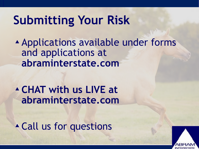### **Submitting Your Risk**

! Applications available under forms and applications at **abraminterstate.com**

! **CHAT with us LIVE at abraminterstate.com** 

**A Call us for questions**